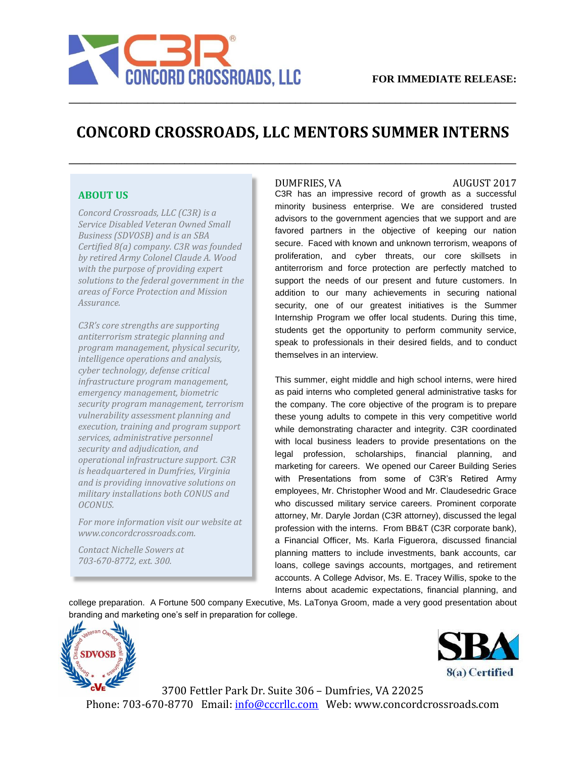

## **CONCORD CROSSROADS, LLC MENTORS SUMMER INTERNS**

**\_\_\_\_\_\_\_\_\_\_\_\_\_\_\_\_\_\_\_\_\_\_\_\_\_\_\_\_\_\_\_\_\_\_\_\_\_\_\_\_\_\_\_\_\_\_\_\_\_\_\_\_\_\_\_\_\_\_\_\_\_\_\_\_\_\_\_\_\_\_\_\_\_\_\_\_\_\_\_\_\_\_\_\_\_**

**\_\_\_\_\_\_\_\_\_\_\_\_\_\_\_\_\_\_\_\_\_\_\_\_\_\_\_\_\_\_\_\_\_\_\_\_\_\_\_\_\_\_\_\_\_\_\_\_\_\_\_\_\_\_\_\_\_\_\_\_\_\_\_\_\_\_\_\_\_\_\_\_\_\_\_\_\_\_\_\_\_\_\_\_\_**

### **ABOUT US**

*Concord Crossroads, LLC (C3R) is a Service Disabled Veteran Owned Small Business (SDVOSB) and is an SBA Certified 8(a) company. C3R was founded by retired Army Colonel Claude A. Wood with the purpose of providing expert solutions to the federal government in the areas of Force Protection and Mission Assurance.* 

*C3R's core strengths are supporting antiterrorism strategic planning and program management, physical security, intelligence operations and analysis, cyber technology, defense critical infrastructure program management, emergency management, biometric security program management, terrorism vulnerability assessment planning and execution, training and program support services, administrative personnel security and adjudication, and operational infrastructure support. C3R is headquartered in Dumfries, Virginia and is providing innovative solutions on military installations both CONUS and OCONUS.* 

*For more information visit our website at www.concordcrossroads.com.* 

*Contact Nichelle Sowers at 703-670-8772, ext. 300.*

#### DUMFRIES, VA AUGUST 2017

C3R has an impressive record of growth as a successful minority business enterprise. We are considered trusted advisors to the government agencies that we support and are favored partners in the objective of keeping our nation secure. Faced with known and unknown terrorism, weapons of proliferation, and cyber threats, our core skillsets in antiterrorism and force protection are perfectly matched to support the needs of our present and future customers. In addition to our many achievements in securing national security, one of our greatest initiatives is the Summer Internship Program we offer local students. During this time, students get the opportunity to perform community service, speak to professionals in their desired fields, and to conduct themselves in an interview.

This summer, eight middle and high school interns, were hired as paid interns who completed general administrative tasks for the company. The core objective of the program is to prepare these young adults to compete in this very competitive world while demonstrating character and integrity. C3R coordinated with local business leaders to provide presentations on the legal profession, scholarships, financial planning, and marketing for careers. We opened our Career Building Series with Presentations from some of C3R's Retired Army employees, Mr. Christopher Wood and Mr. Claudesedric Grace who discussed military service careers. Prominent corporate attorney, Mr. Daryle Jordan (C3R attorney), discussed the legal profession with the interns. From BB&T (C3R corporate bank), a Financial Officer, Ms. Karla Figuerora, discussed financial planning matters to include investments, bank accounts, car loans, college savings accounts, mortgages, and retirement accounts. A College Advisor, Ms. E. Tracey Willis, spoke to the Interns about academic expectations, financial planning, and

college preparation. A Fortune 500 company Executive, Ms. LaTonya Groom, made a very good presentation about branding and marketing one's self in preparation for college.





3700 Fettler Park Dr. Suite 306 – Dumfries, VA 22025 Phone: 703-670-8770 Email: info@cccrllc.com Web: www.concordcrossroads.com